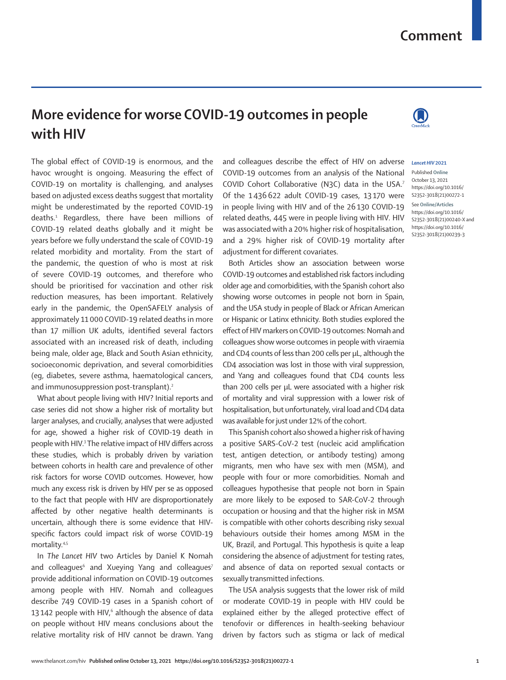## **Comment**

## **More evidence for worse COVID-19 outcomes in people with HIV**

The global effect of COVID-19 is enormous, and the havoc wrought is ongoing. Measuring the effect of COVID-19 on mortality is challenging, and analyses based on adjusted excess deaths suggest that mortality might be underestimated by the reported COVID-19 deaths.1 Regardless, there have been millions of COVID-19 related deaths globally and it might be years before we fully understand the scale of COVID-19 related morbidity and mortality. From the start of the pandemic, the question of who is most at risk of severe COVID-19 outcomes, and therefore who should be prioritised for vaccination and other risk reduction measures, has been important. Relatively early in the pandemic, the OpenSAFELY analysis of approximately 11 000 COVID-19 related deaths in more than 17 million UK adults, identified several factors associated with an increased risk of death, including being male, older age, Black and South Asian ethnicity, socioeconomic deprivation, and several comorbidities (eg, diabetes, severe asthma, haematological cancers, and immunosuppression post-transplant).<sup>2</sup>

What about people living with HIV? Initial reports and case series did not show a higher risk of mortality but larger analyses, and crucially, analyses that were adjusted for age, showed a higher risk of COVID-19 death in people with HIV.<sup>3</sup> The relative impact of HIV differs across these studies, which is probably driven by variation between cohorts in health care and prevalence of other risk factors for worse COVID outcomes. However, how much any excess risk is driven by HIV per se as opposed to the fact that people with HIV are disproportionately affected by other negative health determinants is uncertain, although there is some evidence that HIVspecific factors could impact risk of worse COVID-19 mortality.4,5

In *The Lancet HIV* two Articles by Daniel K Nomah and colleagues $^6$  and Xueying Yang and colleagues $^7$ provide additional information on COVID-19 outcomes among people with HIV. Nomah and colleagues describe 749 COVID-19 cases in a Spanish cohort of 13142 people with HIV, $6$  although the absence of data on people without HIV means conclusions about the relative mortality risk of HIV cannot be drawn. Yang and colleagues describe the effect of HIV on adverse COVID-19 outcomes from an analysis of the National COVID Cohort Collaborative (N3C) data in the USA.7 Of the 1 436622 adult COVID-19 cases, 13 170 were in people living with HIV and of the 26130 COVID-19 related deaths, 445 were in people living with HIV. HIV was associated with a 20% higher risk of hospitalisation, and a 29% higher risk of COVID-19 mortality after adjustment for different covariates.

Both Articles show an association between worse COVID-19 outcomes and established risk factors including older age and comorbidities, with the Spanish cohort also showing worse outcomes in people not born in Spain, and the USA study in people of Black or African American or Hispanic or Latinx ethnicity. Both studies explored the effect of HIV markers on COVID-19 outcomes: Nomah and colleagues show worse outcomes in people with viraemia and CD4 counts of less than 200 cells per µL, although the CD4 association was lost in those with viral suppression, and Yang and colleagues found that CD4 counts less than 200 cells per µL were associated with a higher risk of mortality and viral suppression with a lower risk of hospitalisation, but unfortunately, viral load and CD4 data was available for just under 12% of the cohort.

This Spanish cohort also showed a higher risk of having a positive SARS-CoV-2 test (nucleic acid amplification test, antigen detection, or antibody testing) among migrants, men who have sex with men (MSM), and people with four or more comorbidities. Nomah and colleagues hypothesise that people not born in Spain are more likely to be exposed to SAR-CoV-2 through occupation or housing and that the higher risk in MSM is compatible with other cohorts describing risky sexual behaviours outside their homes among MSM in the UK, Brazil, and Portugal. This hypothesis is quite a leap considering the absence of adjustment for testing rates, and absence of data on reported sexual contacts or sexually transmitted infections.

The USA analysis suggests that the lower risk of mild or moderate COVID-19 in people with HIV could be explained either by the alleged protective effect of tenofovir or differences in health-seeking behaviour driven by factors such as stigma or lack of medical

## *Lancet HIV* **2021**

Published **Online** October 13, 2021 https://doi.org/10.1016/ S2352-3018(21)00272-1

See **Online/Articles** https://doi.org/10.1016/ S2352-3018(21)00240-X and https://doi.org/10.1016/ S2352-3018(21)00239-3